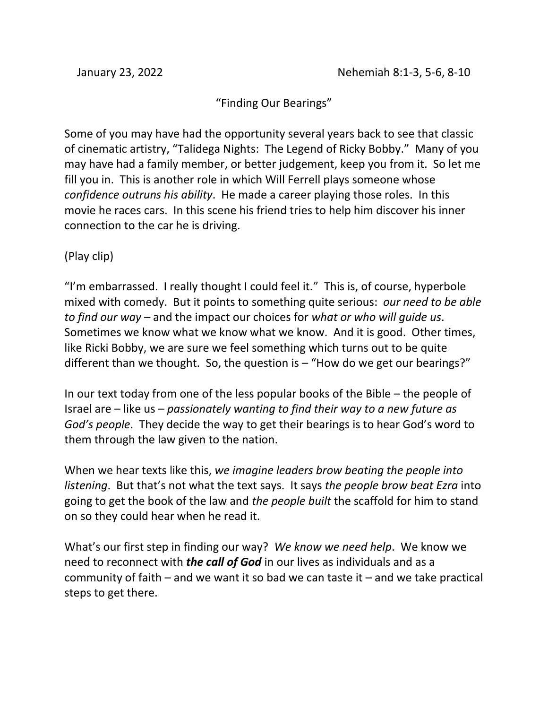## "Finding Our Bearings"

Some of you may have had the opportunity several years back to see that classic of cinematic artistry, "Talidega Nights: The Legend of Ricky Bobby." Many of you may have had a family member, or better judgement, keep you from it. So let me fill you in. This is another role in which Will Ferrell plays someone whose *confidence outruns his ability*. He made a career playing those roles. In this movie he races cars. In this scene his friend tries to help him discover his inner connection to the car he is driving.

(Play clip)

"I'm embarrassed. I really thought I could feel it." This is, of course, hyperbole mixed with comedy. But it points to something quite serious: *our need to be able to find our way* – and the impact our choices for *what or who will guide us*. Sometimes we know what we know what we know. And it is good. Other times, like Ricki Bobby, we are sure we feel something which turns out to be quite different than we thought. So, the question is  $-$  "How do we get our bearings?"

In our text today from one of the less popular books of the Bible – the people of Israel are – like us – *passionately wanting to find their way to a new future as God's people*. They decide the way to get their bearings is to hear God's word to them through the law given to the nation.

When we hear texts like this, *we imagine leaders brow beating the people into listening*. But that's not what the text says. It says *the people brow beat Ezra* into going to get the book of the law and *the people built* the scaffold for him to stand on so they could hear when he read it.

What's our first step in finding our way? *We know we need help*. We know we need to reconnect with *the call of God* in our lives as individuals and as a community of faith – and we want it so bad we can taste it – and we take practical steps to get there.